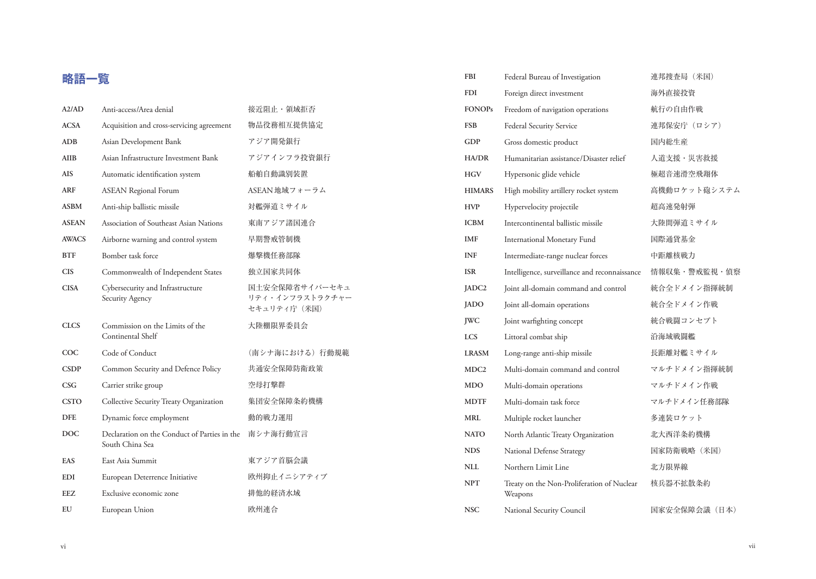## **略語一覧**

| A2/AD        | Anti-access/Area denial                                         | 接近阻止·領域拒否                                         |
|--------------|-----------------------------------------------------------------|---------------------------------------------------|
| <b>ACSA</b>  | Acquisition and cross-servicing agreement                       | 物品役務相互提供協定                                        |
| <b>ADB</b>   | Asian Development Bank                                          | アジア開発銀行                                           |
| AIIB         | Asian Infrastructure Investment Bank                            | アジアインフラ投資銀行                                       |
| <b>AIS</b>   | Automatic identification system                                 | 船舶自動識別装置                                          |
| ARF          | <b>ASEAN Regional Forum</b>                                     | ASEAN地域フォーラム                                      |
| <b>ASBM</b>  | Anti-ship ballistic missile                                     | 対艦弾道ミサイル                                          |
| <b>ASEAN</b> | Association of Southeast Asian Nations                          | 東南アジア諸国連合                                         |
| <b>AWACS</b> | Airborne warning and control system                             | 早期警戒管制機                                           |
| <b>BTF</b>   | Bomber task force                                               | 爆撃機任務部隊                                           |
| <b>CIS</b>   | Commonwealth of Independent States                              | 独立国家共同体                                           |
| <b>CISA</b>  | Cybersecurity and Infrastructure<br>Security Agency             | 国土安全保障省サイバーセキュ<br>リティ・インフラストラクチャー<br>セキュリティ庁 (米国) |
| <b>CLCS</b>  | Commission on the Limits of the<br>Continental Shelf            | 大陸棚限界委員会                                          |
| $_{\rm COC}$ | Code of Conduct                                                 | (南シナ海における) 行動規範                                   |
| <b>CSDP</b>  | Common Security and Defence Policy                              | 共通安全保障防衛政策                                        |
| CSG          | Carrier strike group                                            | 空母打撃群                                             |
| <b>CSTO</b>  | Collective Security Treaty Organization                         | 集団安全保障条約機構                                        |
| <b>DFE</b>   | Dynamic force employment                                        | 動的戦力運用                                            |
| <b>DOC</b>   | Declaration on the Conduct of Parties in the<br>South China Sea | 南シナ海行動宣言                                          |
| <b>EAS</b>   | East Asia Summit                                                | 東アジア首脳会議                                          |
| <b>EDI</b>   | European Deterrence Initiative                                  | 欧州抑止イニシアティブ                                       |
| EEZ          | Exclusive economic zone                                         | 排他的経済水域                                           |
| EU           | European Union                                                  | 欧州連合                                              |

| <b>FBI</b>        | Federal Bureau of Investigation                       | 連邦捜査局 (米国)    |
|-------------------|-------------------------------------------------------|---------------|
| <b>FDI</b>        | Foreign direct investment                             | 海外直接投資        |
| <b>FONOPs</b>     | Freedom of navigation operations                      | 航行の自由作戦       |
| <b>FSB</b>        | Federal Security Service                              | 連邦保安庁(ロシア)    |
| <b>GDP</b>        | Gross domestic product                                | 国内総生産         |
| HA/DR             | Humanitarian assistance/Disaster relief               | 人道支援·災害救援     |
| <b>HGV</b>        | Hypersonic glide vehicle                              | 極超音速滑空飛翔体     |
| <b>HIMARS</b>     | High mobility artillery rocket system                 | 高機動ロケット砲システム  |
| <b>HVP</b>        | Hypervelocity projectile                              | 超高速発射弾        |
| <b>ICBM</b>       | Intercontinental ballistic missile                    | 大陸間弾道ミサイル     |
| <b>IMF</b>        | International Monetary Fund                           | 国際通貨基金        |
| <b>INF</b>        | Intermediate-range nuclear forces                     | 中距離核戦力        |
| <b>ISR</b>        | Intelligence, surveillance and reconnaissance         | 情報収集・警戒監視・偵察  |
| JADC <sub>2</sub> | Joint all-domain command and control                  | 統合全ドメイン指揮統制   |
| JADO              | Joint all-domain operations                           | 統合全ドメイン作戦     |
| <b>JWC</b>        | Joint warfighting concept                             | 統合戦闘コンセプト     |
| <b>LCS</b>        | Littoral combat ship                                  | 沿海域戦闘艦        |
| <b>LRASM</b>      | Long-range anti-ship missile                          | 長距離対艦ミサイル     |
| MDC <sub>2</sub>  | Multi-domain command and control                      | マルチドメイン指揮統制   |
| <b>MDO</b>        | Multi-domain operations                               | マルチドメイン作戦     |
| <b>MDTF</b>       | Multi-domain task force                               | マルチドメイン任務部隊   |
| MRI.              | Multiple rocket launcher                              | 多連装ロケット       |
| <b>NATO</b>       | North Atlantic Treaty Organization                    | 北大西洋条約機構      |
| <b>NDS</b>        | National Defense Strategy                             | 国家防衛戦略 (米国)   |
| <b>NLL</b>        | Northern Limit Line                                   | 北方限界線         |
| <b>NPT</b>        | Treaty on the Non-Proliferation of Nuclear<br>Weapons | 核兵器不拡散条約      |
| <b>NSC</b>        | National Security Council                             | 国家安全保障会議 (日本) |